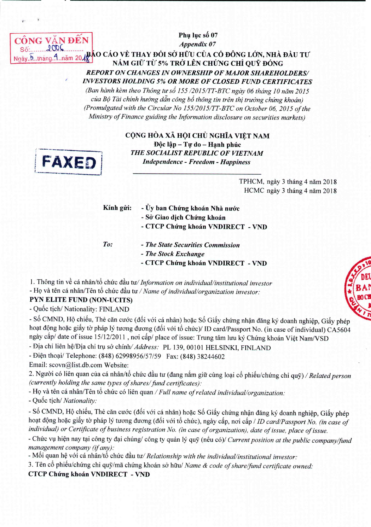CÔN **VAN DEN** Số:

Appendix 07 Ngày. 5. tháng A năm 2018 AO CÁO VỀ THAY ĐỔI SỞ HỮU CỦA CỔ ĐÔNG LỚN, NHÀ ĐẦU TƯ NĂM GIỮ TỪ 5% TRỞ LÊN CHỨNG CHỈ QUỸ ĐÓNG **REPORT ON CHANGES IN OWNERSHIP OF MAJOR SHAREHOLDERS/ INVESTORS HOLDING 5% OR MORE OF CLOSED FUND CERTIFICATES** (Ban hành kèm theo Thông tư số 155/2015/TT-BTC ngày 06 tháng 10 năm 2015

Phụ lục số 07

của Bộ Tài chính hướng dẫn công bố thông tin trên thị trường chứng khoán) (Promulgated with the Circular No 155/2015/TT-BTC on October 06, 2015 of the Ministry of Finance guiding the Information disclosure on securities markets)



CỘNG HÒA XÃ HỘI CHỦ NGHĨA VIỆT NAM Độc lập – Tự do – Hanh phúc THE SOCIALIST REPUBLIC OF VIETNAM **Independence - Freedom - Happiness** 

> TPHCM, ngày 3 tháng 4 năm 2018 HCMC ngày 3 tháng 4 năm 2018

- Kính gửi: - Ủy ban Chứng khoán Nhà nước
	- Sở Giao dịch Chứng khoán
	- CTCP Chứng khoán VNDIRECT VND

To:

- The State Securities Commission - The Stock Exchange
- CTCP Chứng khoán VNDIRECT VND

1. Thông tin về cá nhân/tổ chức đầu tư/ Information on individual/institutional investor

- Họ và tên cá nhân/Tên tổ chức đầu tư / Name of individual/organization investor:

## PYN ELITE FUND (NON-UCITS)

- Quốc tịch/ Nationality: FINLAND

- Số CMND, Hộ chiếu, Thẻ căn cước (đối với cá nhân) hoặc Số Giấy chứng nhận đăng ký doanh nghiệp, Giấy phép hoạt động hoặc giấy tờ pháp lý tương đương (đối với tổ chức)/ ID card/Passport No. (in case of individual) CA5604 ngày cấp/ date of issue 15/12/2011, nơi cấp/ place of issue: Trung tâm lưu ký Chứng khoán Việt Nam/VSD

- Địa chỉ liên hệ/Địa chỉ trụ sở chính/ Address: PL 139, 00101 HELSINKI, FINLAND

- Điện thoại/ Telephone: (848) 62998956/57/59 Fax: (848) 38244602

Email: scovn@list.db.com Website:

2. Người có liên quan của cá nhân/tổ chức đầu tư (đang nắm giữ cùng loại cổ phiếu/chứng chỉ quỹ) / Related person (currently holding the same types of shares/ fund certificates):

- Họ và tên cá nhân/Tên tổ chức có liên quan / Full name of related individual/organization:

- Quốc tịch/ Nationality:

- Số CMND, Hộ chiếu, Thẻ căn cước (đối với cá nhân) hoặc Số Giấy chứng nhận đăng ký doanh nghiệp, Giấy phép hoạt động hoặc giấy tờ pháp lý tương đương (đối với tổ chức), ngày cấp, nơi cấp / ID card/Passport No. (in case of individual) or Certificate of business registration No. (in case of organization), date of issue, place of issue.

- Chức vụ hiện nay tại công ty đại chúng/ công ty quản lý quỹ (nếu có)/ Current position at the public company/fund management company (if any):

- Mối quan hệ với cá nhân/tổ chức đầu tư/ Relationship with the individual/institutional investor:

3. Tên cổ phiếu/chứng chỉ quỹ/mã chứng khoán sở hữu/ Name & code of share/fund certificate owned:

**CTCP Chứng khoán VNDIRECT - VND**